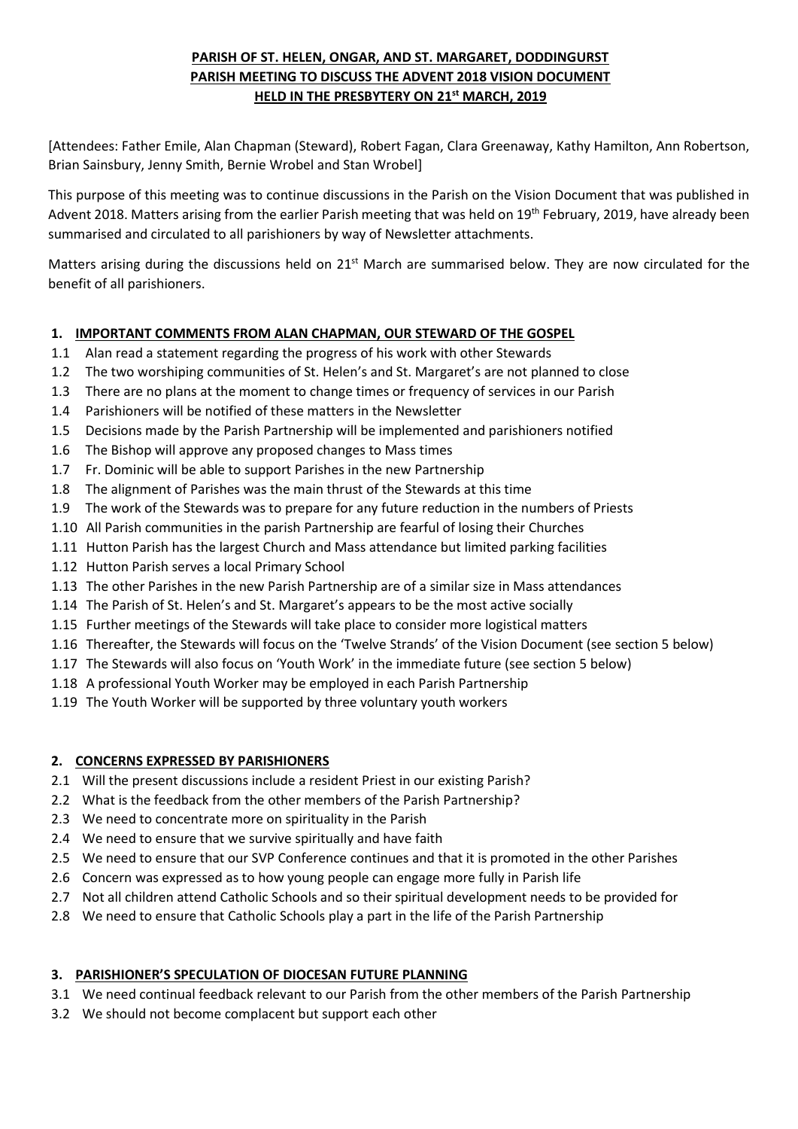# **PARISH OF ST. HELEN, ONGAR, AND ST. MARGARET, DODDINGURST PARISH MEETING TO DISCUSS THE ADVENT 2018 VISION DOCUMENT HELD IN THE PRESBYTERY ON 21st MARCH, 2019**

[Attendees: Father Emile, Alan Chapman (Steward), Robert Fagan, Clara Greenaway, Kathy Hamilton, Ann Robertson, Brian Sainsbury, Jenny Smith, Bernie Wrobel and Stan Wrobel]

This purpose of this meeting was to continue discussions in the Parish on the Vision Document that was published in Advent 2018. Matters arising from the earlier Parish meeting that was held on 19<sup>th</sup> February, 2019, have already been summarised and circulated to all parishioners by way of Newsletter attachments.

Matters arising during the discussions held on  $21<sup>st</sup>$  March are summarised below. They are now circulated for the benefit of all parishioners.

## **1. IMPORTANT COMMENTS FROM ALAN CHAPMAN, OUR STEWARD OF THE GOSPEL**

- 1.1 Alan read a statement regarding the progress of his work with other Stewards
- 1.2 The two worshiping communities of St. Helen's and St. Margaret's are not planned to close
- 1.3 There are no plans at the moment to change times or frequency of services in our Parish
- 1.4 Parishioners will be notified of these matters in the Newsletter
- 1.5 Decisions made by the Parish Partnership will be implemented and parishioners notified
- 1.6 The Bishop will approve any proposed changes to Mass times
- 1.7 Fr. Dominic will be able to support Parishes in the new Partnership
- 1.8 The alignment of Parishes was the main thrust of the Stewards at this time
- 1.9 The work of the Stewards was to prepare for any future reduction in the numbers of Priests
- 1.10 All Parish communities in the parish Partnership are fearful of losing their Churches
- 1.11 Hutton Parish has the largest Church and Mass attendance but limited parking facilities
- 1.12 Hutton Parish serves a local Primary School
- 1.13 The other Parishes in the new Parish Partnership are of a similar size in Mass attendances
- 1.14 The Parish of St. Helen's and St. Margaret's appears to be the most active socially
- 1.15 Further meetings of the Stewards will take place to consider more logistical matters
- 1.16 Thereafter, the Stewards will focus on the 'Twelve Strands' of the Vision Document (see section 5 below)
- 1.17 The Stewards will also focus on 'Youth Work' in the immediate future (see section 5 below)
- 1.18 A professional Youth Worker may be employed in each Parish Partnership
- 1.19 The Youth Worker will be supported by three voluntary youth workers

### **2. CONCERNS EXPRESSED BY PARISHIONERS**

- 2.1 Will the present discussions include a resident Priest in our existing Parish?
- 2.2 What is the feedback from the other members of the Parish Partnership?
- 2.3 We need to concentrate more on spirituality in the Parish
- 2.4 We need to ensure that we survive spiritually and have faith
- 2.5 We need to ensure that our SVP Conference continues and that it is promoted in the other Parishes
- 2.6 Concern was expressed as to how young people can engage more fully in Parish life
- 2.7 Not all children attend Catholic Schools and so their spiritual development needs to be provided for
- 2.8 We need to ensure that Catholic Schools play a part in the life of the Parish Partnership

# **3. PARISHIONER'S SPECULATION OF DIOCESAN FUTURE PLANNING**

- 3.1 We need continual feedback relevant to our Parish from the other members of the Parish Partnership
- 3.2 We should not become complacent but support each other